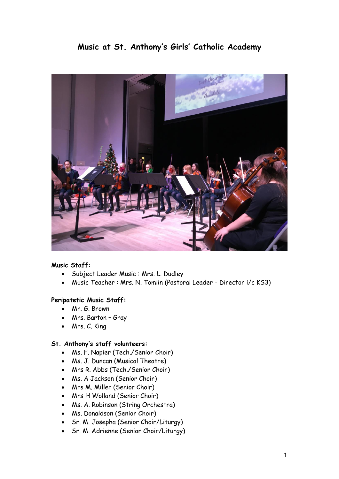# **Music at St. Anthony's Girls' Catholic Academy**



#### **Music Staff:**

- Subject Leader Music : Mrs. L. Dudley
- Music Teacher : Mrs. N. Tomlin (Pastoral Leader Director i/c KS3)

#### **Peripatetic Music Staff:**

- Mr. G. Brown
- Mrs. Barton Gray
- Mrs. C. King

#### **St. Anthony's staff volunteers:**

- Ms. F. Napier (Tech./Senior Choir)
- Ms. J. Duncan (Musical Theatre)
- Mrs R. Abbs (Tech./Senior Choir)
- Ms. A Jackson (Senior Choir)
- Mrs M. Miller (Senior Choir)
- Mrs H Wolland (Senior Choir)
- Ms. A. Robinson (String Orchestra)
- Ms. Donaldson (Senior Choir)
- Sr. M. Josepha (Senior Choir/Liturgy)
- Sr. M. Adrienne (Senior Choir/Liturgy)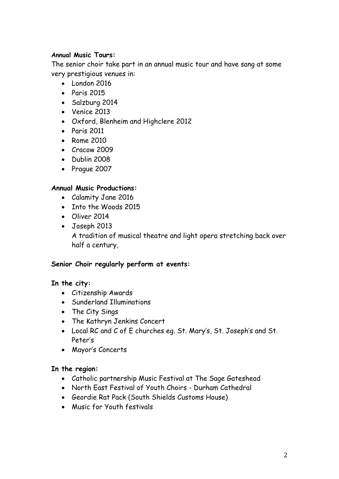### **Annual Music Tours:**

The senior choir take part in an annual music tour and have sang at some very prestigious venues in:

- London 2016
- $\bullet$  Paris 2015
- Salzburg 2014
- Venice 2013
- Oxford, Blenheim and Highclere 2012
- Paris 2011
- Rome 2010
- Cracow 2009
- Dublin 2008
- Prague 2007

### **Annual Music Productions:**

- Calamity Jane 2016
- Into the Woods 2015
- Oliver 2014
- Joseph 2013

A tradition of musical theatre and light opera stretching back over half a century,

#### **Senior Choir regularly perform at events:**

## **In the city:**

- Citizenship Awards
- Sunderland Illuminations
- The City Sings
- The Kathryn Jenkins Concert
- Local RC and C of E churches eg. St. Mary's, St. Joseph's and St. Peter's
- Mayor's Concerts

## **In the region:**

- Catholic partnership Music Festival at The Sage Gateshead
- North East Festival of Youth Choirs Durham Cathedral
- Geordie Rat Pack (South Shields Customs House)
- Music for Youth festivals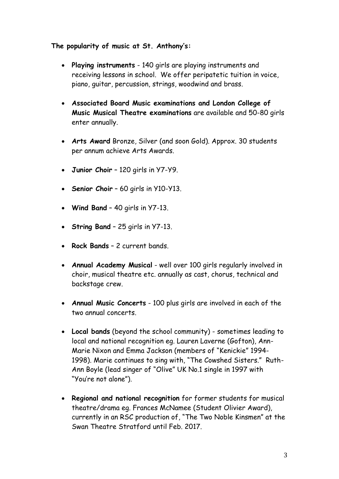### **The popularity of music at St. Anthony's:**

- **Playing instruments** 140 girls are playing instruments and receiving lessons in school. We offer peripatetic tuition in voice, piano, guitar, percussion, strings, woodwind and brass.
- **Associated Board Music examinations and London College of Music Musical Theatre examinations** are available and 50-80 girls enter annually.
- **Arts Award** Bronze, Silver (and soon Gold). Approx. 30 students per annum achieve Arts Awards.
- **Junior Choir** 120 girls in Y7-Y9.
- **Senior Choir** 60 girls in Y10-Y13.
- **Wind Band** 40 girls in Y7-13.
- **String Band** 25 girls in Y7-13.
- **Rock Bands** 2 current bands.
- **Annual Academy Musical** well over 100 girls regularly involved in choir, musical theatre etc. annually as cast, chorus, technical and backstage crew.
- **Annual Music Concerts** 100 plus girls are involved in each of the two annual concerts.
- **Local bands** (beyond the school community) sometimes leading to local and national recognition eg. Lauren Laverne (Gofton), Ann-Marie Nixon and Emma Jackson (members of "Kenickie" 1994- 1998). Marie continues to sing with, "The Cowshed Sisters." Ruth-Ann Boyle (lead singer of "Olive" UK No.1 single in 1997 with "You're not alone").
- **Regional and national recognition** for former students for musical theatre/drama eg. Frances McNamee (Student Olivier Award), currently in an RSC production of, "The Two Noble Kinsmen" at the Swan Theatre Stratford until Feb. 2017.